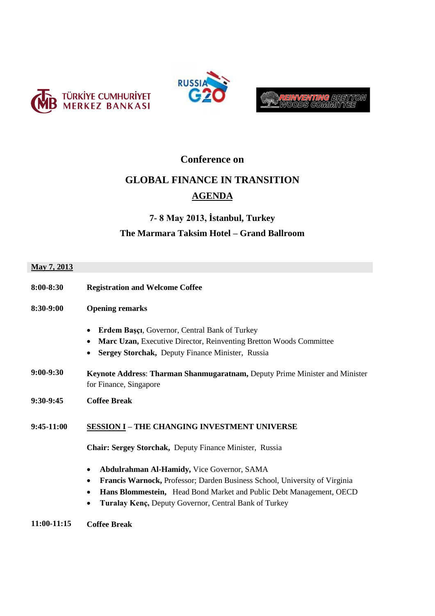



### BRETTON **AREINVENTING** BI**R**<br>KG WOODS GOMM

## **Conference on**

# **GLOBAL FINANCE IN TRANSITION AGENDA**

## **7- 8 May 2013, İstanbul, Turkey The Marmara Taksim Hotel – Grand Ballroom**

| May 7, 2013  |                                                                                                       |
|--------------|-------------------------------------------------------------------------------------------------------|
| 8:00-8:30    | <b>Registration and Welcome Coffee</b>                                                                |
| 8:30-9:00    | <b>Opening remarks</b>                                                                                |
|              | Erdem Başçı, Governor, Central Bank of Turkey                                                         |
|              | Marc Uzan, Executive Director, Reinventing Bretton Woods Committee                                    |
|              | Sergey Storchak, Deputy Finance Minister, Russia                                                      |
| $9:00-9:30$  | Keynote Address: Tharman Shanmugaratnam, Deputy Prime Minister and Minister<br>for Finance, Singapore |
| 9:30-9:45    | <b>Coffee Break</b>                                                                                   |
| $9:45-11:00$ | <b>SESSION I - THE CHANGING INVESTMENT UNIVERSE</b>                                                   |
|              | <b>Chair: Sergey Storchak, Deputy Finance Minister, Russia</b>                                        |
|              | Abdulrahman Al-Hamidy, Vice Governor, SAMA                                                            |
|              | Francis Warnock, Professor; Darden Business School, University of Virginia<br>$\bullet$               |
|              | Hans Blommestein, Head Bond Market and Public Debt Management, OECD<br>٠                              |
|              | Turalay Kenç, Deputy Governor, Central Bank of Turkey<br>$\bullet$                                    |
| 11:00-11:15  | <b>Coffee Break</b>                                                                                   |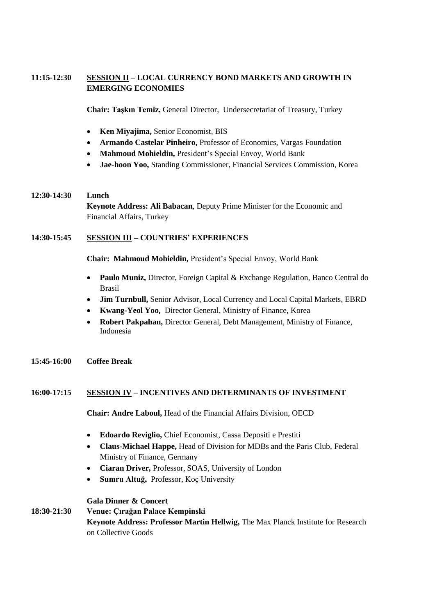## **11:15-12:30 SESSION II – LOCAL CURRENCY BOND MARKETS AND GROWTH IN EMERGING ECONOMIES**

**Chair: Taşkın Temiz,** General Director, Undersecretariat of Treasury, Turkey

- **Ken Miyajima,** Senior Economist, BIS
- **Armando Castelar Pinheiro,** Professor of Economics, Vargas Foundation
- **Mahmoud Mohieldin,** President's Special Envoy, World Bank
- **Jae-hoon Yoo,** Standing Commissioner, Financial Services Commission, Korea

#### **12:30-14:30 Lunch**

**Keynote Address: Ali Babacan**, Deputy Prime Minister for the Economic and Financial Affairs, Turkey

#### **14:30-15:45 SESSION III – COUNTRIES' EXPERIENCES**

**Chair: Mahmoud Mohieldin,** President's Special Envoy, World Bank

- **Paulo Muniz,** Director, Foreign Capital & Exchange Regulation, Banco Central do Brasil
- **Jim Turnbull,** Senior Advisor, Local Currency and Local Capital Markets, EBRD
- **Kwang-Yeol Yoo,** Director General, Ministry of Finance, Korea
- **Robert Pakpahan,** Director General, Debt Management, Ministry of Finance, Indonesia
- **15:45-16:00 Coffee Break**

#### **16:00-17:15 SESSION IV – INCENTIVES AND DETERMINANTS OF INVESTMENT**

**Chair: Andre Laboul,** Head of the Financial Affairs Division, OECD

- **Edoardo Reviglio,** Chief Economist, Cassa Depositi e Prestiti
- **Claus-Michael Happe,** Head of Division for MDBs and the Paris Club, Federal Ministry of Finance, Germany
- **Ciaran Driver,** Professor, SOAS, University of London
- **Sumru Altuğ,** Professor, Koç University

## **Gala Dinner & Concert**

**18:30-21:30 Venue: Çırağan Palace Kempinski Keynote Address: Professor Martin Hellwig,** The Max Planck Institute for Research on Collective Goods